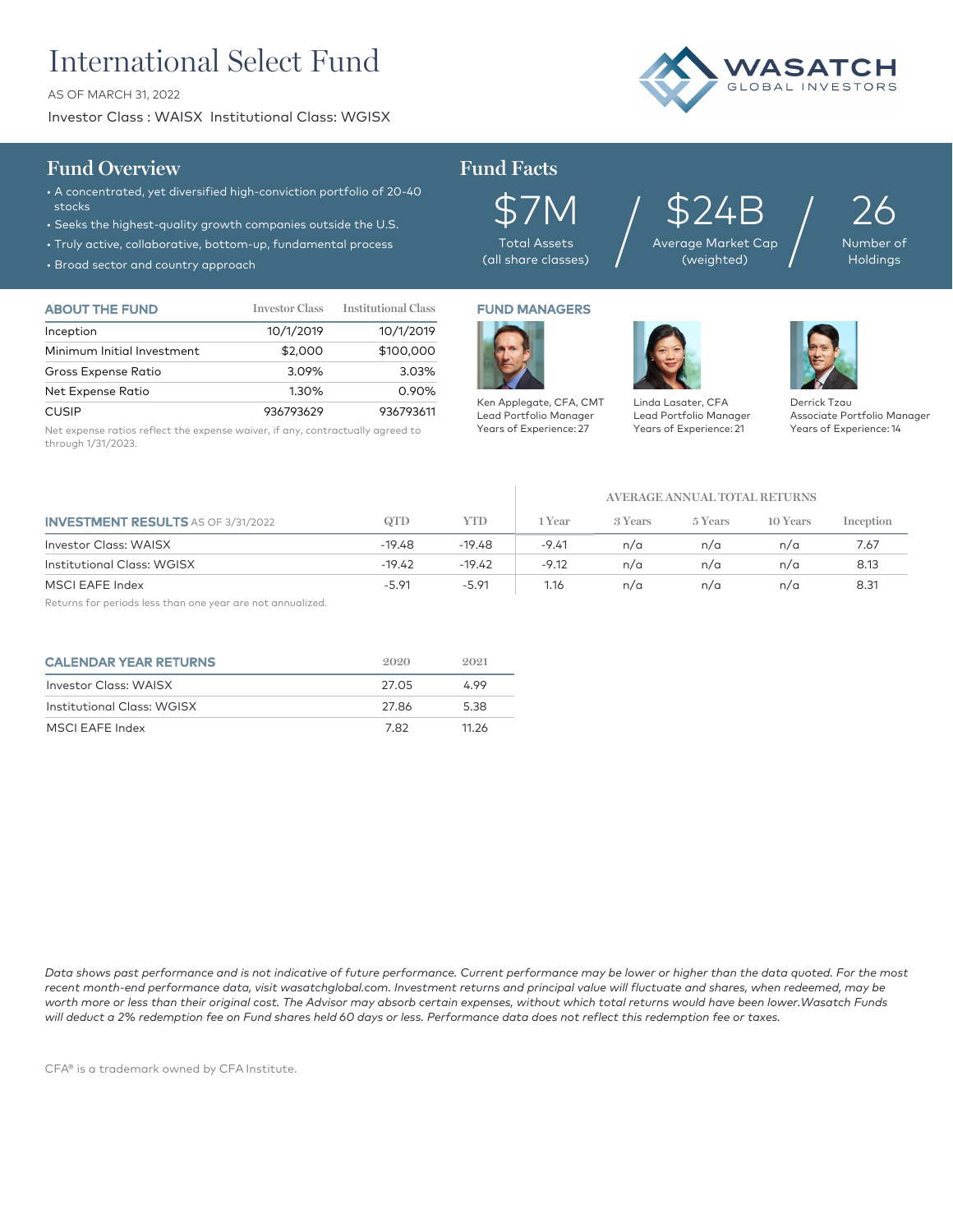# International Select Fund

AS OF MARCH 31, 2022

Investor Class : WAISX Institutional Class: WGISX



## **Fund Overview Fund Facts**

- A concentrated, yet diversified high-conviction portfolio of 20-40 stocks
- Seeks the highest-quality growth companies outside the U.S.
- Truly active, collaborative, bottom-up, fundamental process
- Broad sector and country approach

| <b>ABOUT THE FUND</b>      | <b>Investor Class</b> | <b>Institutional Class</b> |
|----------------------------|-----------------------|----------------------------|
| Inception                  | 10/1/2019             | 10/1/2019                  |
| Minimum Initial Investment | \$2,000               | \$100,000                  |
| Gross Expense Ratio        | 3.09%                 | 3.03%                      |
| Net Expense Ratio          | 1.30%                 | 0.90%                      |
| <b>CUSIP</b>               | 936793629             | 936793611                  |

Net expense ratios reflect the expense waiver, if any, contractually agreed to through 1/31/2023.



\$7M Total Assets (all share classes)

Ken Applegate, CFA, CMT Lead Portfolio Manager Years of Experience: 27

\$24B Average Market Cap  $\frac{524B}{\frac{24}{\text{60}}\left(\text{Weylated}\right)}}$ 

26 Number **Holdings** 

FUND MANAGERS



Years of Experience: 21

Linda Lasater, CFA Lead Portfolio Manager

Derrick Tzau

Associate Portfolio Manager Years of Experience: 14

**AVERAGE ANNUAL TOTAL RETURNS**

| <b>INVESTMENT RESULTS</b> AS OF 3/31/2022 | QTD      | YTD      | 1 Year  | 3 Years | 5 Years | 10 Years | Inception |
|-------------------------------------------|----------|----------|---------|---------|---------|----------|-----------|
| <b>Investor Class: WAISX</b>              | $-19.48$ | $-19.48$ | $-9.41$ | n/a     | n/a     | n/a      | 7.67      |
| <b>Institutional Class: WGISX</b>         | $-19.42$ | $-19.42$ | $-9.12$ | n/a     | n/a     | n/a      | 8.13      |
| MSCI EAFE Index                           | $-5.91$  | $-5.91$  | 1.16    | n/a     | n/a     | n/a      | 8.31      |

Returns for periods less than one year are not annualized.

| <b>CALENDAR YEAR RETURNS</b> | 2020  | 9.091 |
|------------------------------|-------|-------|
| <b>Investor Class: WAISX</b> | 27.O5 | 4.99  |
| Institutional Class: WGISX   | 27.86 | 5.38  |
| MSCI EAFE Index              | 782   | 11.26 |

*Data shows past performance and is not indicative of future performance. Current performance may be lower or higher than the data quoted. For the most recent month-end performance data, visit wasatchglobal.com. Investment returns and principal value will fluctuate and shares, when redeemed, may be*  worth more or less than their original cost. The Advisor may absorb certain expenses, without which total returns would have been lower.Wasatch Funds *will deduct a 2% redemption fee on Fund shares held 60 days or less. Performance data does not reflect this redemption fee or taxes.*